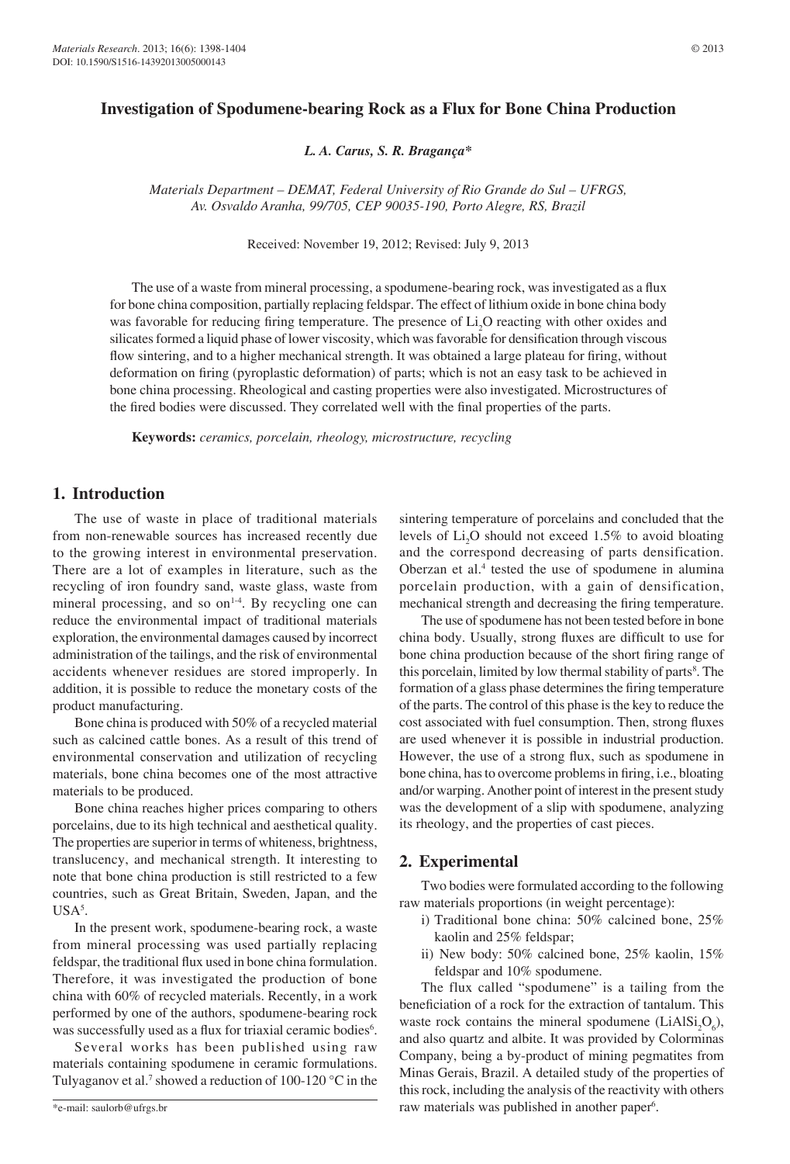# **Investigation of Spodumene-bearing Rock as a Flux for Bone China Production**

*L. A. Carus, S. R. Bragança\**

*Materials Department – DEMAT, Federal University of Rio Grande do Sul – UFRGS, Av. Osvaldo Aranha, 99/705, CEP 90035-190, Porto Alegre, RS, Brazil*

Received: November 19, 2012; Revised: July 9, 2013

The use of a waste from mineral processing, a spodumene-bearing rock, was investigated as a flux for bone china composition, partially replacing feldspar. The effect of lithium oxide in bone china body was favorable for reducing firing temperature. The presence of  $Li<sub>2</sub>O$  reacting with other oxides and silicates formed a liquid phase of lower viscosity, which was favorable for densification through viscous flow sintering, and to a higher mechanical strength. It was obtained a large plateau for firing, without deformation on firing (pyroplastic deformation) of parts; which is not an easy task to be achieved in bone china processing. Rheological and casting properties were also investigated. Microstructures of the fired bodies were discussed. They correlated well with the final properties of the parts.

**Keywords:** *ceramics, porcelain, rheology, microstructure, recycling*

### **1. Introduction**

The use of waste in place of traditional materials from non-renewable sources has increased recently due to the growing interest in environmental preservation. There are a lot of examples in literature, such as the recycling of iron foundry sand, waste glass, waste from mineral processing, and so on<sup>1-4</sup>. By recycling one can reduce the environmental impact of traditional materials exploration, the environmental damages caused by incorrect administration of the tailings, and the risk of environmental accidents whenever residues are stored improperly. In addition, it is possible to reduce the monetary costs of the product manufacturing.

Bone china is produced with 50% of a recycled material such as calcined cattle bones. As a result of this trend of environmental conservation and utilization of recycling materials, bone china becomes one of the most attractive materials to be produced.

Bone china reaches higher prices comparing to others porcelains, due to its high technical and aesthetical quality. The properties are superior in terms of whiteness, brightness, translucency, and mechanical strength. It interesting to note that bone china production is still restricted to a few countries, such as Great Britain, Sweden, Japan, and the  $USA<sup>5</sup>$ .

In the present work, spodumene-bearing rock, a waste from mineral processing was used partially replacing feldspar, the traditional flux used in bone china formulation. Therefore, it was investigated the production of bone china with 60% of recycled materials. Recently, in a work performed by one of the authors, spodumene-bearing rock was successfully used as a flux for triaxial ceramic bodies<sup>6</sup>.

Several works has been published using raw materials containing spodumene in ceramic formulations. Tulyaganov et al.<sup>7</sup> showed a reduction of 100-120  $\degree$ C in the sintering temperature of porcelains and concluded that the levels of  $Li<sub>2</sub>O$  should not exceed 1.5% to avoid bloating and the correspond decreasing of parts densification. Oberzan et al.<sup>4</sup> tested the use of spodumene in alumina porcelain production, with a gain of densification, mechanical strength and decreasing the firing temperature.

The use of spodumene has not been tested before in bone china body. Usually, strong fluxes are difficult to use for bone china production because of the short firing range of this porcelain, limited by low thermal stability of parts<sup>8</sup>. The formation of a glass phase determines the firing temperature of the parts. The control of this phase is the key to reduce the cost associated with fuel consumption. Then, strong fluxes are used whenever it is possible in industrial production. However, the use of a strong flux, such as spodumene in bone china, has to overcome problems in firing, i.e., bloating and/or warping. Another point of interest in the present study was the development of a slip with spodumene, analyzing its rheology, and the properties of cast pieces.

## **2. Experimental**

Two bodies were formulated according to the following raw materials proportions (in weight percentage):

- i) Traditional bone china: 50% calcined bone, 25% kaolin and 25% feldspar;
- ii) New body: 50% calcined bone, 25% kaolin, 15% feldspar and 10% spodumene.

The flux called "spodumene" is a tailing from the beneficiation of a rock for the extraction of tantalum. This waste rock contains the mineral spodumene ( $LiAlSi<sub>2</sub>O<sub>6</sub>$ ), and also quartz and albite. It was provided by Colorminas Company, being a by-product of mining pegmatites from Minas Gerais, Brazil. A detailed study of the properties of this rock, including the analysis of the reactivity with others raw materials was published in another paper<sup>6</sup>.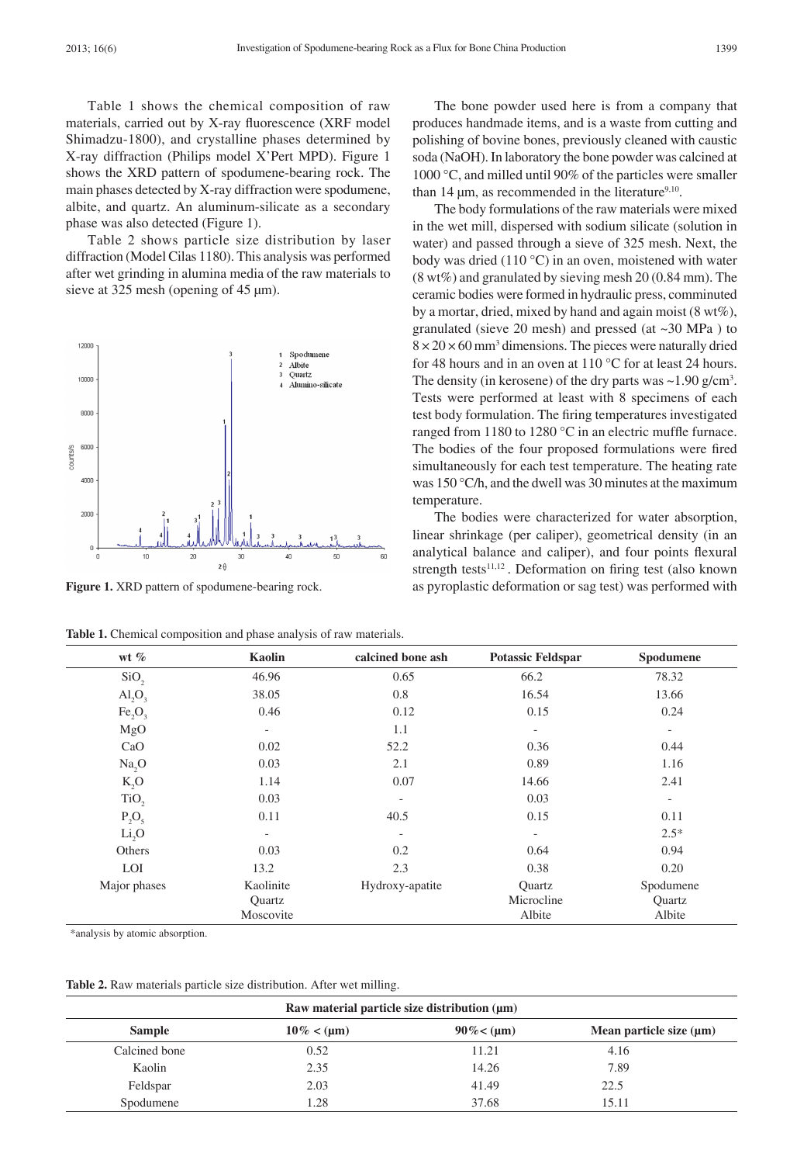Table 1 shows the chemical composition of raw materials, carried out by X-ray fluorescence (XRF model Shimadzu-1800), and crystalline phases determined by X-ray diffraction (Philips model X'Pert MPD). Figure 1 shows the XRD pattern of spodumene-bearing rock. The main phases detected by X-ray diffraction were spodumene, albite, and quartz. An aluminum-silicate as a secondary phase was also detected (Figure 1).

Table 2 shows particle size distribution by laser diffraction (Model Cilas 1180). This analysis was performed after wet grinding in alumina media of the raw materials to sieve at 325 mesh (opening of 45 µm).



**Figure 1.** XRD pattern of spodumene-bearing rock.

**Table 1.** Chemical composition and phase analysis of raw materials.

The bone powder used here is from a company that produces handmade items, and is a waste from cutting and polishing of bovine bones, previously cleaned with caustic soda (NaOH). In laboratory the bone powder was calcined at 1000 °C, and milled until 90% of the particles were smaller than 14  $\mu$ m, as recommended in the literature<sup>9,10</sup>.

The body formulations of the raw materials were mixed in the wet mill, dispersed with sodium silicate (solution in water) and passed through a sieve of 325 mesh. Next, the body was dried (110 °C) in an oven, moistened with water (8 wt%) and granulated by sieving mesh 20 (0.84 mm). The ceramic bodies were formed in hydraulic press, comminuted by a mortar, dried, mixed by hand and again moist (8 wt%), granulated (sieve 20 mesh) and pressed (at  $\sim$ 30 MPa) to  $8 \times 20 \times 60$  mm<sup>3</sup> dimensions. The pieces were naturally dried for 48 hours and in an oven at 110 °C for at least 24 hours. The density (in kerosene) of the dry parts was  $\sim$ 1.90 g/cm<sup>3</sup>. Tests were performed at least with 8 specimens of each test body formulation. The firing temperatures investigated ranged from 1180 to 1280 °C in an electric muffle furnace. The bodies of the four proposed formulations were fired simultaneously for each test temperature. The heating rate was 150 °C/h, and the dwell was 30 minutes at the maximum temperature.

The bodies were characterized for water absorption, linear shrinkage (per caliper), geometrical density (in an analytical balance and caliper), and four points flexural strength tests $11,12$ . Deformation on firing test (also known as pyroplastic deformation or sag test) was performed with

| wt $%$                         | Kaolin                   | calcined bone ash        | <b>Potassic Feldspar</b> | Spodumene                |
|--------------------------------|--------------------------|--------------------------|--------------------------|--------------------------|
| SiO <sub>2</sub>               | 46.96                    | 0.65                     | 66.2                     | 78.32                    |
| AI <sub>2</sub> O <sub>3</sub> | 38.05                    | 0.8                      | 16.54                    | 13.66                    |
| Fe, O,                         | 0.46                     | 0.12                     | 0.15                     | 0.24                     |
| MgO                            | $\overline{\phantom{0}}$ | 1.1                      | $\overline{\phantom{a}}$ | $\overline{a}$           |
| CaO                            | 0.02                     | 52.2                     | 0.36                     | 0.44                     |
| Na <sub>2</sub> O              | 0.03                     | 2.1                      | 0.89                     | 1.16                     |
| $K_2O$                         | 1.14                     | 0.07                     | 14.66                    | 2.41                     |
| TiO <sub>2</sub>               | 0.03                     | $\overline{\phantom{a}}$ | 0.03                     | $\overline{\phantom{a}}$ |
| $P_2O_5$                       | 0.11                     | 40.5                     | 0.15                     | 0.11                     |
| Li <sub>2</sub> O              | $\overline{\phantom{a}}$ | $\overline{\phantom{a}}$ | $\overline{\phantom{0}}$ | $2.5*$                   |
| Others                         | 0.03                     | 0.2                      | 0.64                     | 0.94                     |
| <b>LOI</b>                     | 13.2                     | 2.3                      | 0.38                     | 0.20                     |
| Major phases                   | Kaolinite                | Hydroxy-apatite          | <b>Ouartz</b>            | Spodumene                |
|                                | Ouartz                   |                          | Microcline               | <b>Ouartz</b>            |
|                                | Moscovite                |                          | Albite                   | Albite                   |

\*analysis by atomic absorption.

**Table 2.** Raw materials particle size distribution. After wet milling.

|               | Raw material particle size distribution $(\mu m)$                    |       |       |  |  |  |  |
|---------------|----------------------------------------------------------------------|-------|-------|--|--|--|--|
| <b>Sample</b> | $90\% < (\mu m)$<br>Mean particle size $(\mu m)$<br>$10\% < (\mu m)$ |       |       |  |  |  |  |
| Calcined bone | 0.52                                                                 | 11.21 | 4.16  |  |  |  |  |
| Kaolin        | 2.35                                                                 | 14.26 | 7.89  |  |  |  |  |
| Feldspar      | 2.03                                                                 | 41.49 | 22.5  |  |  |  |  |
| Spodumene     | 1.28                                                                 | 37.68 | 15.11 |  |  |  |  |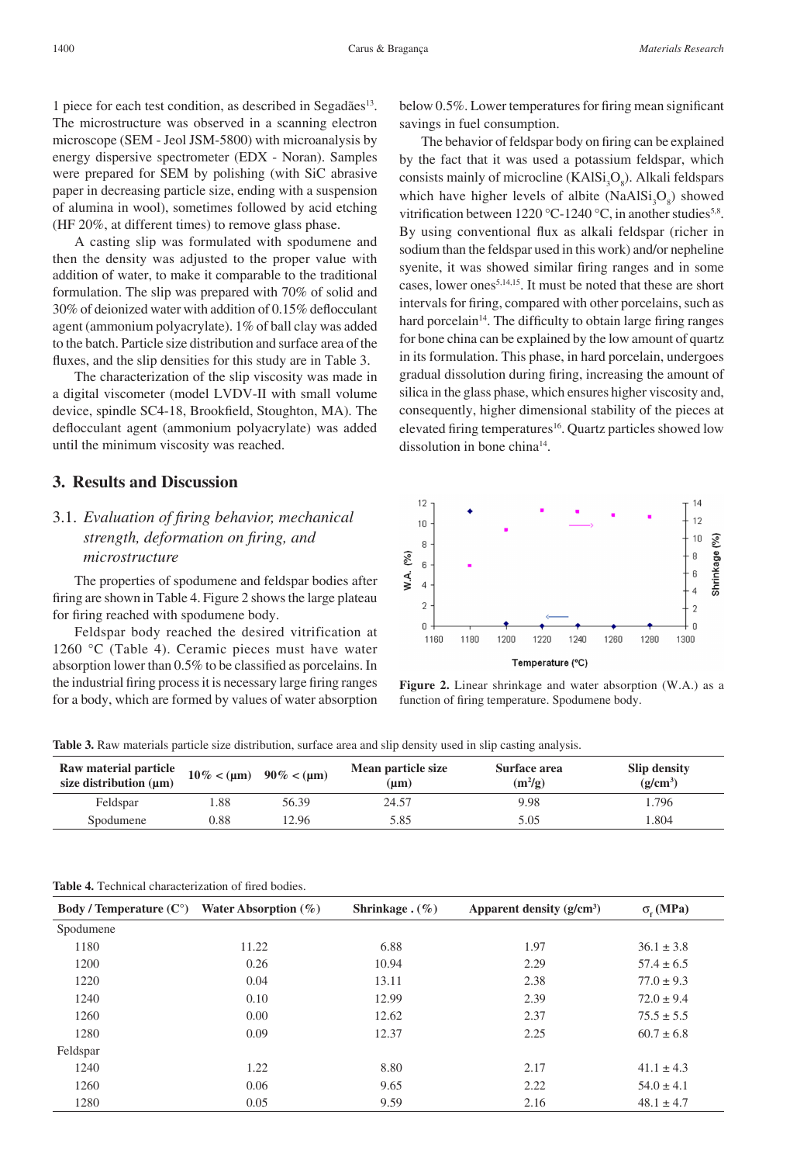1 piece for each test condition, as described in Segadães<sup>13</sup>. The microstructure was observed in a scanning electron microscope (SEM - Jeol JSM-5800) with microanalysis by energy dispersive spectrometer (EDX - Noran). Samples were prepared for SEM by polishing (with SiC abrasive paper in decreasing particle size, ending with a suspension of alumina in wool), sometimes followed by acid etching (HF 20%, at different times) to remove glass phase.

A casting slip was formulated with spodumene and then the density was adjusted to the proper value with addition of water, to make it comparable to the traditional formulation. The slip was prepared with 70% of solid and 30% of deionized water with addition of 0.15% deflocculant agent (ammonium polyacrylate). 1% of ball clay was added to the batch. Particle size distribution and surface area of the fluxes, and the slip densities for this study are in Table 3.

The characterization of the slip viscosity was made in a digital viscometer (model LVDV-II with small volume device, spindle SC4-18, Brookfield, Stoughton, MA). The deflocculant agent (ammonium polyacrylate) was added until the minimum viscosity was reached.

## **3. Results and Discussion**

# 3.1. *Evaluation of firing behavior, mechanical strength, deformation on firing, and microstructure*

The properties of spodumene and feldspar bodies after firing are shown in Table 4. Figure 2 shows the large plateau for firing reached with spodumene body.

Feldspar body reached the desired vitrification at 1260 °C (Table 4). Ceramic pieces must have water absorption lower than 0.5% to be classified as porcelains. In the industrial firing process it is necessary large firing ranges for a body, which are formed by values of water absorption below 0.5%. Lower temperatures for firing mean significant savings in fuel consumption.

The behavior of feldspar body on firing can be explained by the fact that it was used a potassium feldspar, which consists mainly of microcline  $(KAISi<sub>3</sub>O<sub>8</sub>)$ . Alkali feldspars which have higher levels of albite  $(NaAlSi<sub>3</sub>O<sub>8</sub>)$  showed vitrification between  $1220^{\circ}$ C-1240 °C, in another studies<sup>5,8</sup>. By using conventional flux as alkali feldspar (richer in sodium than the feldspar used in this work) and/or nepheline syenite, it was showed similar firing ranges and in some cases, lower ones5,14,15. It must be noted that these are short intervals for firing, compared with other porcelains, such as hard porcelain<sup>14</sup>. The difficulty to obtain large firing ranges for bone china can be explained by the low amount of quartz in its formulation. This phase, in hard porcelain, undergoes gradual dissolution during firing, increasing the amount of silica in the glass phase, which ensures higher viscosity and, consequently, higher dimensional stability of the pieces at elevated firing temperatures<sup>16</sup>. Quartz particles showed low dissolution in bone china<sup>14</sup>.



**Figure 2.** Linear shrinkage and water absorption (W.A.) as a function of firing temperature. Spodumene body.

**Table 3.** Raw materials particle size distribution, surface area and slip density used in slip casting analysis.

| <b>Raw material particle</b><br>size distribution $(\mu m)$ |      | $10\% < (\mu m)$ 90% < ( $\mu m$ ) | Mean particle size<br>$(\mathbf{u}\mathbf{m})$ | Surface area<br>$(m^2/g)$ | Slip density<br>$(g/cm^3)$ |
|-------------------------------------------------------------|------|------------------------------------|------------------------------------------------|---------------------------|----------------------------|
| Feldspar                                                    | l.88 | 56.39                              | 24.57                                          | 9.98                      | 1.796                      |
| Spodumene                                                   | 0.88 | 12.96                              | 5.85                                           | 5.05                      | 1.804                      |

| <b>Table 4.</b> Technical characterization of fired bodies. |
|-------------------------------------------------------------|
|                                                             |

| <b>Body</b> / Temperature $(C^{\circ})$ | Water Absorption $(\%)$ | Shrinkage. $(\% )$ | Apparent density $(g/cm^3)$ | $\sigma$ . (MPa) |
|-----------------------------------------|-------------------------|--------------------|-----------------------------|------------------|
| Spodumene                               |                         |                    |                             |                  |
| 1180                                    | 11.22                   | 6.88               | 1.97                        | $36.1 \pm 3.8$   |
| 1200                                    | 0.26                    | 10.94              | 2.29                        | $57.4 \pm 6.5$   |
| 1220                                    | 0.04                    | 13.11              | 2.38                        | $77.0 \pm 9.3$   |
| 1240                                    | 0.10                    | 12.99              | 2.39                        | $72.0 \pm 9.4$   |
| 1260                                    | 0.00                    | 12.62              | 2.37                        | $75.5 \pm 5.5$   |
| 1280                                    | 0.09                    | 12.37              | 2.25                        | $60.7 \pm 6.8$   |
| Feldspar                                |                         |                    |                             |                  |
| 1240                                    | 1.22                    | 8.80               | 2.17                        | $41.1 \pm 4.3$   |
| 1260                                    | 0.06                    | 9.65               | 2.22                        | $54.0 \pm 4.1$   |
| 1280                                    | 0.05                    | 9.59               | 2.16                        | $48.1 \pm 4.7$   |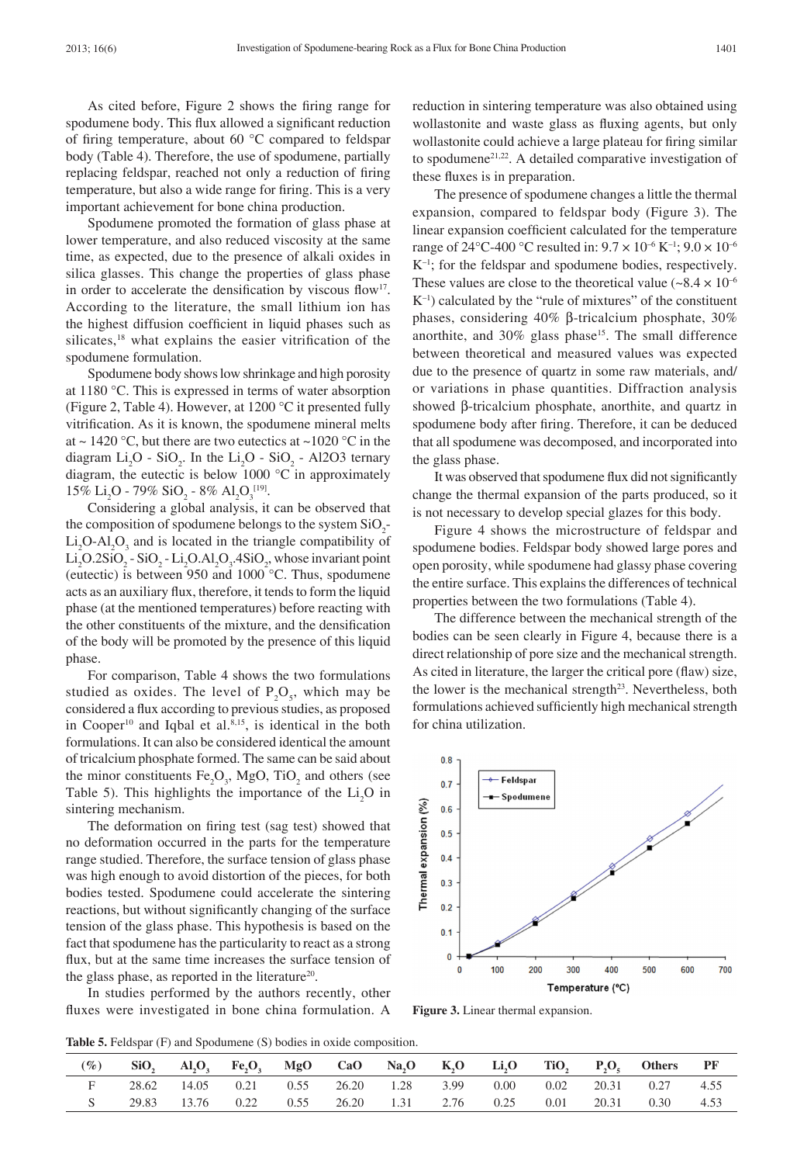As cited before, Figure 2 shows the firing range for spodumene body. This flux allowed a significant reduction of firing temperature, about 60 °C compared to feldspar body (Table 4). Therefore, the use of spodumene, partially replacing feldspar, reached not only a reduction of firing temperature, but also a wide range for firing. This is a very important achievement for bone china production.

Spodumene promoted the formation of glass phase at lower temperature, and also reduced viscosity at the same time, as expected, due to the presence of alkali oxides in silica glasses. This change the properties of glass phase in order to accelerate the densification by viscous flow<sup>17</sup>. According to the literature, the small lithium ion has the highest diffusion coefficient in liquid phases such as silicates,<sup>18</sup> what explains the easier vitrification of the spodumene formulation.

Spodumene body shows low shrinkage and high porosity at 1180 °C. This is expressed in terms of water absorption (Figure 2, Table 4). However, at 1200 °C it presented fully vitrification. As it is known, the spodumene mineral melts at  $\sim$  1420 °C, but there are two eutectics at  $\sim$  1020 °C in the diagram  $Li_2O$  -  $SiO_2$ . In the  $Li_2O$  -  $SiO_2$  - Al2O3 ternary diagram, the eutectic is below  $1000 °C$  in approximately 15% Li<sub>2</sub>O - 79% SiO<sub>2</sub> - 8% Al<sub>2</sub>O<sub>3</sub><sup>[19]</sup>.

Considering a global analysis, it can be observed that the composition of spodumene belongs to the system  $SiO_2$ - $Li<sub>2</sub>O-Al<sub>2</sub>O<sub>3</sub>$  and is located in the triangle compatibility of  $Li<sub>2</sub>O.2SiO<sub>2</sub> - SiO<sub>2</sub> - Li<sub>2</sub>O.Al<sub>2</sub>O<sub>3</sub>$ .4SiO<sub>2</sub>, whose invariant point (eutectic) is between 950 and 1000 °C. Thus, spodumene acts as an auxiliary flux, therefore, it tends to form the liquid phase (at the mentioned temperatures) before reacting with the other constituents of the mixture, and the densification of the body will be promoted by the presence of this liquid phase.

For comparison, Table 4 shows the two formulations studied as oxides. The level of  $P_2O_5$ , which may be considered a flux according to previous studies, as proposed in Cooper<sup>10</sup> and Iqbal et al.<sup>8,15</sup>, is identical in the both formulations. It can also be considered identical the amount of tricalcium phosphate formed. The same can be said about the minor constituents  $Fe<sub>2</sub>O<sub>3</sub>$ , MgO, TiO<sub>2</sub> and others (see Table 5). This highlights the importance of the  $Li<sub>2</sub>O$  in sintering mechanism.

The deformation on firing test (sag test) showed that no deformation occurred in the parts for the temperature range studied. Therefore, the surface tension of glass phase was high enough to avoid distortion of the pieces, for both bodies tested. Spodumene could accelerate the sintering reactions, but without significantly changing of the surface tension of the glass phase. This hypothesis is based on the fact that spodumene has the particularity to react as a strong flux, but at the same time increases the surface tension of the glass phase, as reported in the literature<sup>20</sup>.

In studies performed by the authors recently, other fluxes were investigated in bone china formulation. A

reduction in sintering temperature was also obtained using wollastonite and waste glass as fluxing agents, but only wollastonite could achieve a large plateau for firing similar to spodumene21,22. A detailed comparative investigation of these fluxes is in preparation.

The presence of spodumene changes a little the thermal expansion, compared to feldspar body (Figure 3). The linear expansion coefficient calculated for the temperature range of 24 °C-400 °C resulted in:  $9.7 \times 10^{-6}$  K<sup>-1</sup>;  $9.0 \times 10^{-6}$ K–1; for the feldspar and spodumene bodies, respectively. These values are close to the theoretical value  $(-8.4 \times 10^{-6})$  $K^{-1}$ ) calculated by the "rule of mixtures" of the constituent phases, considering 40% β-tricalcium phosphate, 30% anorthite, and 30% glass phase<sup>15</sup>. The small difference between theoretical and measured values was expected due to the presence of quartz in some raw materials, and/ or variations in phase quantities. Diffraction analysis showed β-tricalcium phosphate, anorthite, and quartz in spodumene body after firing. Therefore, it can be deduced that all spodumene was decomposed, and incorporated into the glass phase.

It was observed that spodumene flux did not significantly change the thermal expansion of the parts produced, so it is not necessary to develop special glazes for this body.

Figure 4 shows the microstructure of feldspar and spodumene bodies. Feldspar body showed large pores and open porosity, while spodumene had glassy phase covering the entire surface. This explains the differences of technical properties between the two formulations (Table 4).

The difference between the mechanical strength of the bodies can be seen clearly in Figure 4, because there is a direct relationship of pore size and the mechanical strength. As cited in literature, the larger the critical pore (flaw) size, the lower is the mechanical strength<sup>23</sup>. Nevertheless, both formulations achieved sufficiently high mechanical strength for china utilization.



**Figure 3.** Linear thermal expansion.

**Table 5.** Feldspar (F) and Spodumene (S) bodies in oxide composition.

| $(\%)$ |  |  |  |  |  | SiO, Al,O, Fe,O, MgO CaO Na,O K,O Li,O TiO, P,O, Others PF      |  |
|--------|--|--|--|--|--|-----------------------------------------------------------------|--|
|        |  |  |  |  |  | 28.62 14.05 0.21 0.55 26.20 1.28 3.99 0.00 0.02 20.31 0.27 4.55 |  |
|        |  |  |  |  |  | 29.83 13.76 0.22 0.55 26.20 1.31 2.76 0.25 0.01 20.31 0.30 4.53 |  |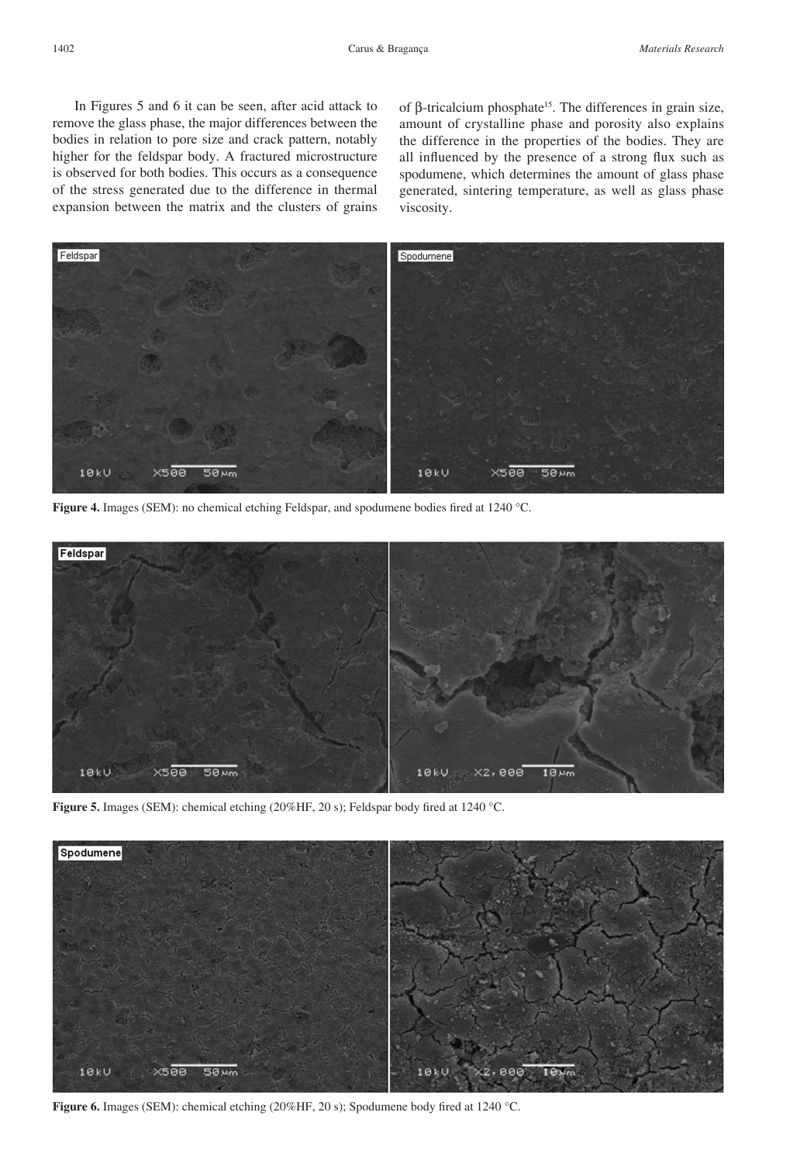In Figures 5 and 6 it can be seen, after acid attack to remove the glass phase, the major differences between the bodies in relation to pore size and crack pattern, notably higher for the feldspar body. A fractured microstructure is observed for both bodies. This occurs as a consequence of the stress generated due to the difference in thermal expansion between the matrix and the clusters of grains of β-tricalcium phosphate<sup>15</sup>. The differences in grain size, amount of crystalline phase and porosity also explains the difference in the properties of the bodies. They are all influenced by the presence of a strong flux such as spodumene, which determines the amount of glass phase generated, sintering temperature, as well as glass phase viscosity.



**Figure 4.** Images (SEM): no chemical etching Feldspar, and spodumene bodies fired at 1240 °C.



**Figure 5.** Images (SEM): chemical etching (20%HF, 20 s); Feldspar body fired at 1240 °C.



**Figure 6.** Images (SEM): chemical etching (20%HF, 20 s); Spodumene body fired at 1240 °C.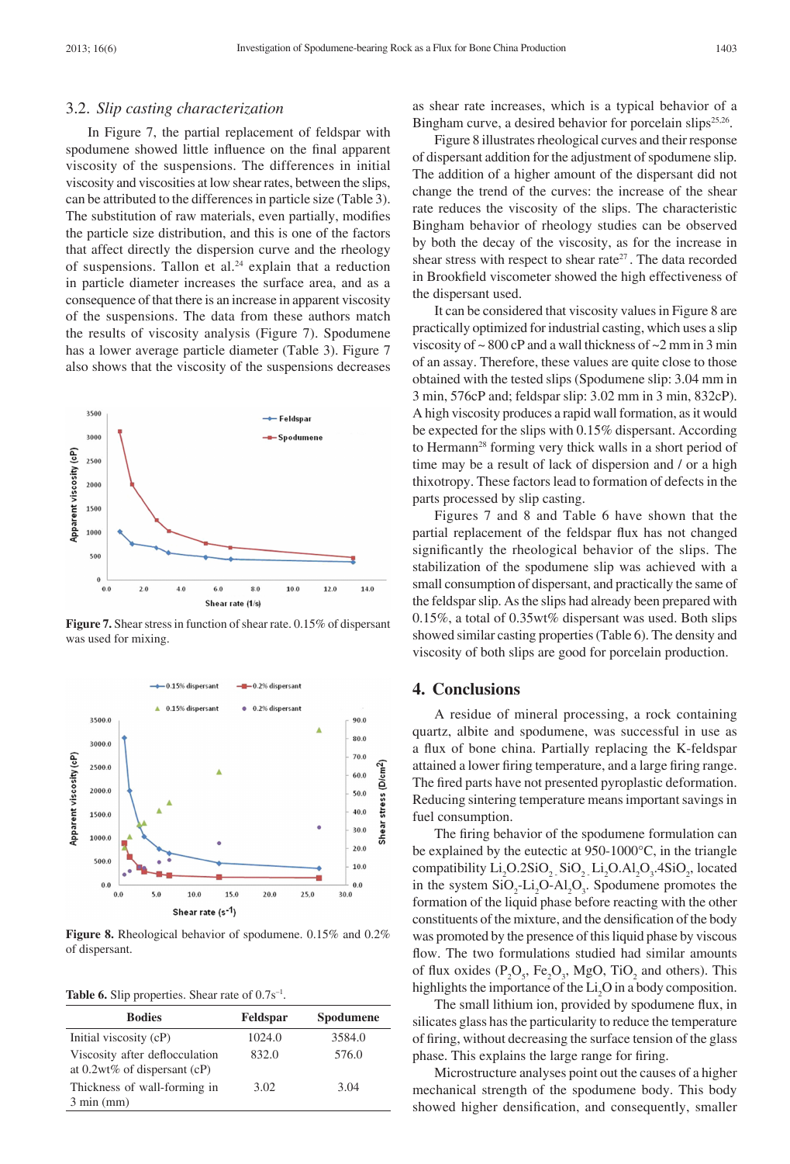#### 3.2. *Slip casting characterization*

In Figure 7, the partial replacement of feldspar with spodumene showed little influence on the final apparent viscosity of the suspensions. The differences in initial viscosity and viscosities at low shear rates, between the slips, can be attributed to the differences in particle size (Table 3). The substitution of raw materials, even partially, modifies the particle size distribution, and this is one of the factors that affect directly the dispersion curve and the rheology of suspensions. Tallon et al. $24$  explain that a reduction in particle diameter increases the surface area, and as a consequence of that there is an increase in apparent viscosity of the suspensions. The data from these authors match the results of viscosity analysis (Figure 7). Spodumene has a lower average particle diameter (Table 3). Figure 7 also shows that the viscosity of the suspensions decreases



**Figure 7.** Shear stress in function of shear rate. 0.15% of dispersant was used for mixing.



**Figure 8.** Rheological behavior of spodumene. 0.15% and 0.2% of dispersant.

Table 6. Slip properties. Shear rate of  $0.7s^{-1}$ .

| <b>Bodies</b>                                                     | Feldspar | Spodumene |
|-------------------------------------------------------------------|----------|-----------|
| Initial viscosity (cP)                                            | 1024.0   | 3584.0    |
| Viscosity after deflocculation<br>at $0.2wt\%$ of dispersant (cP) | 832.0    | 576.0     |
| Thickness of wall-forming in<br>$3 \text{ min (mm)}$              | 3.02     | 3.04      |

as shear rate increases, which is a typical behavior of a Bingham curve, a desired behavior for porcelain slips<sup>25,26</sup>.

Figure 8 illustrates rheological curves and their response of dispersant addition for the adjustment of spodumene slip. The addition of a higher amount of the dispersant did not change the trend of the curves: the increase of the shear rate reduces the viscosity of the slips. The characteristic Bingham behavior of rheology studies can be observed by both the decay of the viscosity, as for the increase in shear stress with respect to shear rate<sup>27</sup>. The data recorded in Brookfield viscometer showed the high effectiveness of the dispersant used.

It can be considered that viscosity values in Figure 8 are practically optimized for industrial casting, which uses a slip viscosity of  $\sim 800$  cP and a wall thickness of  $\sim 2$  mm in 3 min of an assay. Therefore, these values are quite close to those obtained with the tested slips (Spodumene slip: 3.04 mm in 3 min, 576cP and; feldspar slip: 3.02 mm in 3 min, 832cP). A high viscosity produces a rapid wall formation, as it would be expected for the slips with 0.15% dispersant. According to Hermann28 forming very thick walls in a short period of time may be a result of lack of dispersion and / or a high thixotropy. These factors lead to formation of defects in the parts processed by slip casting.

Figures 7 and 8 and Table 6 have shown that the partial replacement of the feldspar flux has not changed significantly the rheological behavior of the slips. The stabilization of the spodumene slip was achieved with a small consumption of dispersant, and practically the same of the feldspar slip. As the slips had already been prepared with 0.15%, a total of 0.35wt% dispersant was used. Both slips showed similar casting properties (Table 6). The density and viscosity of both slips are good for porcelain production.

#### **4. Conclusions**

A residue of mineral processing, a rock containing quartz, albite and spodumene, was successful in use as a flux of bone china. Partially replacing the K-feldspar attained a lower firing temperature, and a large firing range. The fired parts have not presented pyroplastic deformation. Reducing sintering temperature means important savings in fuel consumption.

The firing behavior of the spodumene formulation can be explained by the eutectic at 950-1000°C, in the triangle compatibility  $Li_2O.2SiO_2$ ,  $SiO_2$ ,  $Li_2O.Al_2O_3$ ,  $4SiO_2$ , located in the system  $SiO_2$ -Li<sub>2</sub>O-Al<sub>2</sub>O<sub>3</sub>. Spodumene promotes the formation of the liquid phase before reacting with the other constituents of the mixture, and the densification of the body was promoted by the presence of this liquid phase by viscous flow. The two formulations studied had similar amounts of flux oxides  $(P_2O_5, Fe_2O_3, MgO, TiO_2$  and others). This highlights the importance of the  $Li<sub>2</sub>O$  in a body composition.

The small lithium ion, provided by spodumene flux, in silicates glass has the particularity to reduce the temperature of firing, without decreasing the surface tension of the glass phase. This explains the large range for firing.

Microstructure analyses point out the causes of a higher mechanical strength of the spodumene body. This body showed higher densification, and consequently, smaller